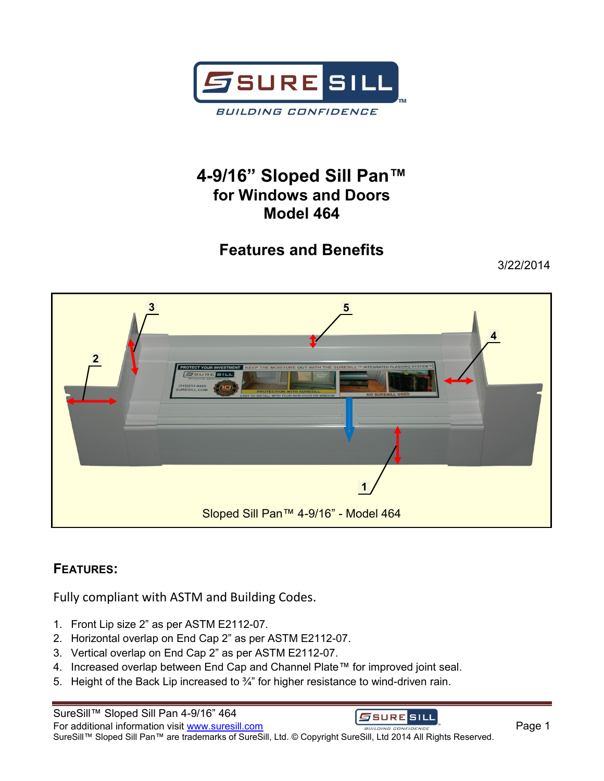

## **4-9/16" Sloped Sill Pan™ for Windows and Doors Model 464**

# **Features and Benefits**

3/22/2014



### **FEATURES:**

Fully compliant with ASTM and Building Codes.

- 1. Front Lip size 2" as per ASTM E2112-07.
- 2. Horizontal overlap on End Cap 2" as per ASTM E2112-07.
- 3. Vertical overlap on End Cap 2" as per ASTM E2112-07.
- 4. Increased overlap between End Cap and Channel Plate™ for improved joint seal.
- 5. Height of the Back Lip increased to 3/4" for higher resistance to wind-driven rain.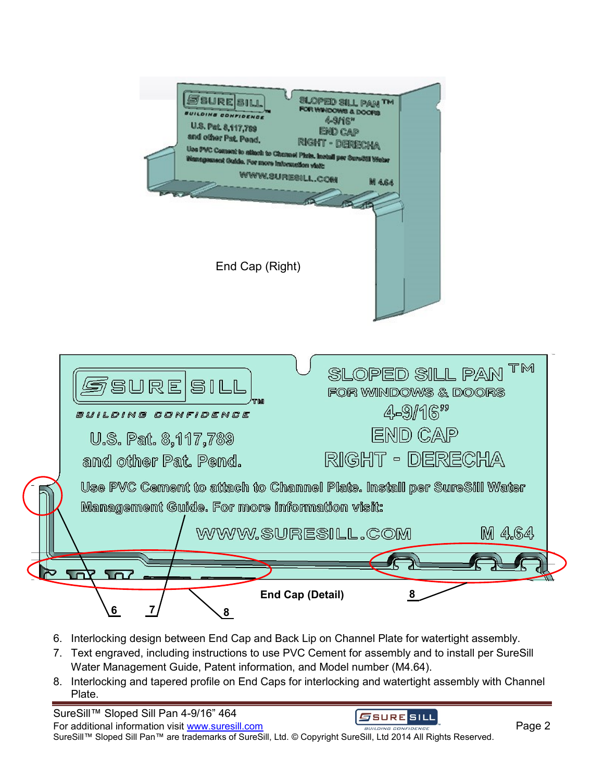

- 6. Interlocking design between End Cap and Back Lip on Channel Plate for watertight assembly.
- 7. Text engraved, including instructions to use PVC Cement for assembly and to install per SureSill Water Management Guide, Patent information, and Model number (M4.64).
- 8. Interlocking and tapered profile on End Caps for interlocking and watertight assembly with Channel Plate.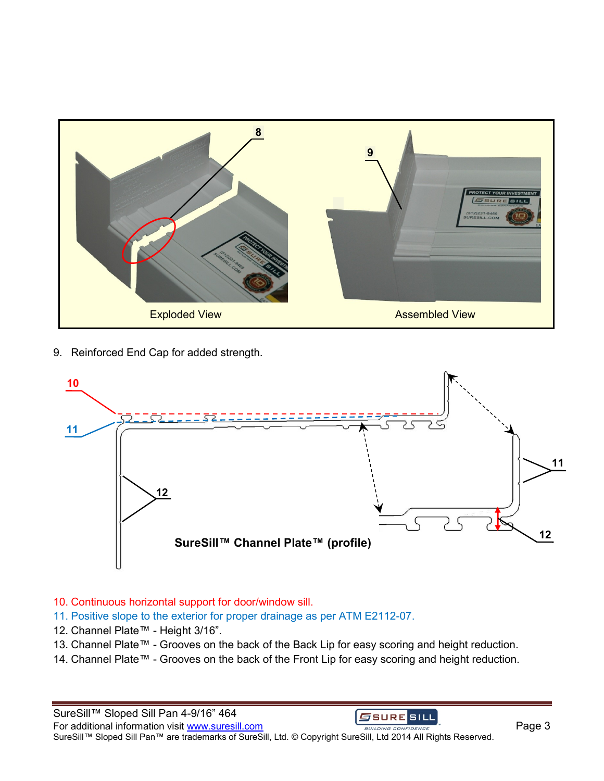

9. Reinforced End Cap for added strength.



#### 10. Continuous horizontal support for door/window sill.

- 11. Positive slope to the exterior for proper drainage as per ATM E2112-07.
- 12. Channel Plate™ Height 3/16".
- 13. Channel Plate™ Grooves on the back of the Back Lip for easy scoring and height reduction.
- 14. Channel Plate™ Grooves on the back of the Front Lip for easy scoring and height reduction.